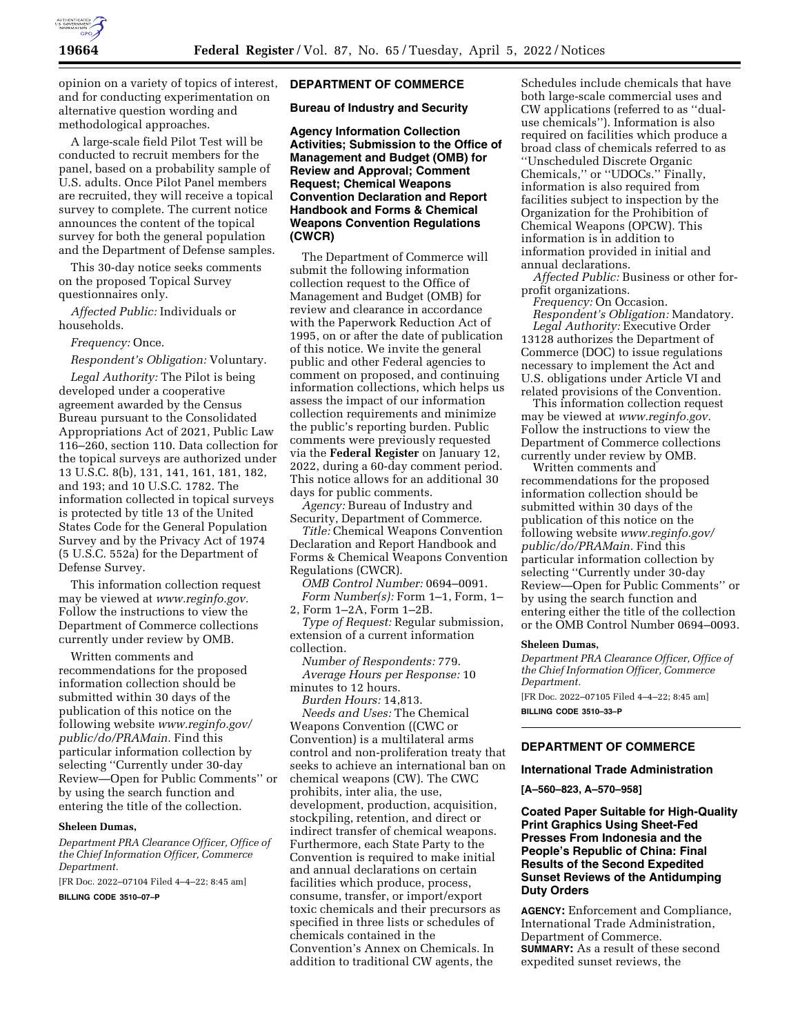

opinion on a variety of topics of interest, and for conducting experimentation on alternative question wording and methodological approaches.

A large-scale field Pilot Test will be conducted to recruit members for the panel, based on a probability sample of U.S. adults. Once Pilot Panel members are recruited, they will receive a topical survey to complete. The current notice announces the content of the topical survey for both the general population and the Department of Defense samples.

This 30-day notice seeks comments on the proposed Topical Survey questionnaires only.

*Affected Public:* Individuals or households.

*Frequency:* Once.

*Respondent's Obligation:* Voluntary.

*Legal Authority:* The Pilot is being developed under a cooperative agreement awarded by the Census Bureau pursuant to the Consolidated Appropriations Act of 2021, Public Law 116–260, section 110. Data collection for the topical surveys are authorized under 13 U.S.C. 8(b), 131, 141, 161, 181, 182, and 193; and 10 U.S.C. 1782. The information collected in topical surveys is protected by title 13 of the United States Code for the General Population Survey and by the Privacy Act of 1974 (5 U.S.C. 552a) for the Department of Defense Survey.

This information collection request may be viewed at *www.reginfo.gov.*  Follow the instructions to view the Department of Commerce collections currently under review by OMB.

Written comments and recommendations for the proposed information collection should be submitted within 30 days of the publication of this notice on the following website *www.reginfo.gov/ public/do/PRAMain.* Find this particular information collection by selecting ''Currently under 30-day Review—Open for Public Comments'' or by using the search function and entering the title of the collection.

#### **Sheleen Dumas,**

*Department PRA Clearance Officer, Office of the Chief Information Officer, Commerce Department.* 

[FR Doc. 2022–07104 Filed 4–4–22; 8:45 am]

**BILLING CODE 3510–07–P** 

### **DEPARTMENT OF COMMERCE**

**Bureau of Industry and Security** 

**Agency Information Collection Activities; Submission to the Office of Management and Budget (OMB) for Review and Approval; Comment Request; Chemical Weapons Convention Declaration and Report Handbook and Forms & Chemical Weapons Convention Regulations (CWCR)** 

The Department of Commerce will submit the following information collection request to the Office of Management and Budget (OMB) for review and clearance in accordance with the Paperwork Reduction Act of 1995, on or after the date of publication of this notice. We invite the general public and other Federal agencies to comment on proposed, and continuing information collections, which helps us assess the impact of our information collection requirements and minimize the public's reporting burden. Public comments were previously requested via the **Federal Register** on January 12, 2022, during a 60-day comment period. This notice allows for an additional 30 days for public comments.

*Agency:* Bureau of Industry and Security, Department of Commerce.

*Title:* Chemical Weapons Convention Declaration and Report Handbook and Forms & Chemical Weapons Convention Regulations (CWCR).

*OMB Control Number:* 0694–0091. *Form Number(s):* Form 1–1, Form, 1– 2, Form 1–2A, Form 1–2B.

*Type of Request:* Regular submission, extension of a current information collection.

*Number of Respondents:* 779. *Average Hours per Response:* 10 minutes to 12 hours.

*Burden Hours:* 14,813.

*Needs and Uses:* The Chemical Weapons Convention ((CWC or Convention) is a multilateral arms control and non-proliferation treaty that seeks to achieve an international ban on chemical weapons (CW). The CWC prohibits, inter alia, the use, development, production, acquisition, stockpiling, retention, and direct or indirect transfer of chemical weapons. Furthermore, each State Party to the Convention is required to make initial and annual declarations on certain facilities which produce, process, consume, transfer, or import/export toxic chemicals and their precursors as specified in three lists or schedules of chemicals contained in the Convention's Annex on Chemicals. In addition to traditional CW agents, the

Schedules include chemicals that have both large-scale commercial uses and CW applications (referred to as ''dualuse chemicals''). Information is also required on facilities which produce a broad class of chemicals referred to as ''Unscheduled Discrete Organic Chemicals,'' or ''UDOCs.'' Finally, information is also required from facilities subject to inspection by the Organization for the Prohibition of Chemical Weapons (OPCW). This information is in addition to information provided in initial and annual declarations.

*Affected Public:* Business or other forprofit organizations.

*Frequency:* On Occasion. *Respondent's Obligation:* Mandatory. *Legal Authority:* Executive Order 13128 authorizes the Department of Commerce (DOC) to issue regulations necessary to implement the Act and U.S. obligations under Article VI and related provisions of the Convention.

This information collection request may be viewed at *www.reginfo.gov.*  Follow the instructions to view the Department of Commerce collections currently under review by OMB.

Written comments and recommendations for the proposed information collection should be submitted within 30 days of the publication of this notice on the following website *www.reginfo.gov/ public/do/PRAMain.* Find this particular information collection by selecting ''Currently under 30-day Review—Open for Public Comments'' or by using the search function and entering either the title of the collection or the OMB Control Number 0694–0093.

#### **Sheleen Dumas,**

*Department PRA Clearance Officer, Office of the Chief Information Officer, Commerce Department.* 

[FR Doc. 2022–07105 Filed 4–4–22; 8:45 am] **BILLING CODE 3510–33–P** 

## **DEPARTMENT OF COMMERCE**

#### **International Trade Administration**

**[A–560–823, A–570–958]** 

## **Coated Paper Suitable for High-Quality Print Graphics Using Sheet-Fed Presses From Indonesia and the People's Republic of China: Final Results of the Second Expedited Sunset Reviews of the Antidumping Duty Orders**

**AGENCY:** Enforcement and Compliance, International Trade Administration, Department of Commerce. **SUMMARY:** As a result of these second expedited sunset reviews, the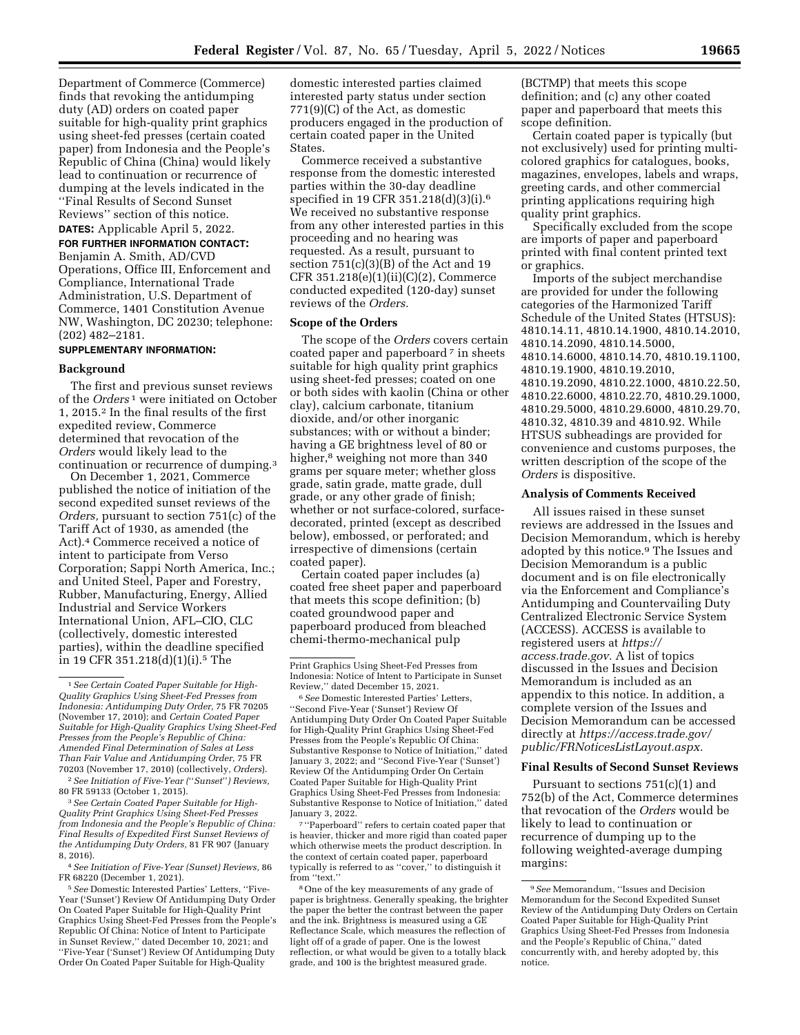Department of Commerce (Commerce) finds that revoking the antidumping duty (AD) orders on coated paper suitable for high-quality print graphics using sheet-fed presses (certain coated paper) from Indonesia and the People's Republic of China (China) would likely lead to continuation or recurrence of dumping at the levels indicated in the ''Final Results of Second Sunset Reviews'' section of this notice.

**DATES:** Applicable April 5, 2022.

**FOR FURTHER INFORMATION CONTACT:**  Benjamin A. Smith, AD/CVD Operations, Office III, Enforcement and Compliance, International Trade Administration, U.S. Department of Commerce, 1401 Constitution Avenue NW, Washington, DC 20230; telephone: (202) 482–2181.

# **SUPPLEMENTARY INFORMATION:**

### **Background**

The first and previous sunset reviews of the *Orders* 1 were initiated on October 1, 2015.2 In the final results of the first expedited review, Commerce determined that revocation of the *Orders* would likely lead to the continuation or recurrence of dumping.3

On December 1, 2021, Commerce published the notice of initiation of the second expedited sunset reviews of the *Orders,* pursuant to section 751(c) of the Tariff Act of 1930, as amended (the Act).4 Commerce received a notice of intent to participate from Verso Corporation; Sappi North America, Inc.; and United Steel, Paper and Forestry, Rubber, Manufacturing, Energy, Allied Industrial and Service Workers International Union, AFL–CIO, CLC (collectively, domestic interested parties), within the deadline specified in 19 CFR 351.218(d)(1)(i).<sup>5</sup> The

domestic interested parties claimed interested party status under section 771(9)(C) of the Act, as domestic producers engaged in the production of certain coated paper in the United States.

Commerce received a substantive response from the domestic interested parties within the 30-day deadline specified in 19 CFR 351.218(d)(3)(i).6 We received no substantive response from any other interested parties in this proceeding and no hearing was requested. As a result, pursuant to section 751(c)(3)(B) of the Act and 19 CFR 351.218(e)(1)(ii)(C)(2), Commerce conducted expedited (120-day) sunset reviews of the *Orders.* 

#### **Scope of the Orders**

The scope of the *Orders* covers certain coated paper and paperboard<sup>7</sup> in sheets suitable for high quality print graphics using sheet-fed presses; coated on one or both sides with kaolin (China or other clay), calcium carbonate, titanium dioxide, and/or other inorganic substances; with or without a binder; having a GE brightness level of 80 or higher,<sup>8</sup> weighing not more than 340 grams per square meter; whether gloss grade, satin grade, matte grade, dull grade, or any other grade of finish; whether or not surface-colored, surfacedecorated, printed (except as described below), embossed, or perforated; and irrespective of dimensions (certain coated paper).

Certain coated paper includes (a) coated free sheet paper and paperboard that meets this scope definition; (b) coated groundwood paper and paperboard produced from bleached chemi-thermo-mechanical pulp

7 ''Paperboard'' refers to certain coated paper that is heavier, thicker and more rigid than coated paper which otherwise meets the product description. In the context of certain coated paper, paperboard typically is referred to as ''cover,'' to distinguish it from ''text.''

(BCTMP) that meets this scope definition; and (c) any other coated paper and paperboard that meets this scope definition.

Certain coated paper is typically (but not exclusively) used for printing multicolored graphics for catalogues, books, magazines, envelopes, labels and wraps, greeting cards, and other commercial printing applications requiring high quality print graphics.

Specifically excluded from the scope are imports of paper and paperboard printed with final content printed text or graphics.

Imports of the subject merchandise are provided for under the following categories of the Harmonized Tariff Schedule of the United States (HTSUS): 4810.14.11, 4810.14.1900, 4810.14.2010, 4810.14.2090, 4810.14.5000, 4810.14.6000, 4810.14.70, 4810.19.1100, 4810.19.1900, 4810.19.2010, 4810.19.2090, 4810.22.1000, 4810.22.50, 4810.22.6000, 4810.22.70, 4810.29.1000, 4810.29.5000, 4810.29.6000, 4810.29.70, 4810.32, 4810.39 and 4810.92. While HTSUS subheadings are provided for convenience and customs purposes, the written description of the scope of the *Orders* is dispositive.

#### **Analysis of Comments Received**

All issues raised in these sunset reviews are addressed in the Issues and Decision Memorandum, which is hereby adopted by this notice.9 The Issues and Decision Memorandum is a public document and is on file electronically via the Enforcement and Compliance's Antidumping and Countervailing Duty Centralized Electronic Service System (ACCESS). ACCESS is available to registered users at *https:// access.trade.gov.* A list of topics discussed in the Issues and Decision Memorandum is included as an appendix to this notice. In addition, a complete version of the Issues and Decision Memorandum can be accessed directly at *https://access.trade.gov/ public/FRNoticesListLayout.aspx.* 

#### **Final Results of Second Sunset Reviews**

Pursuant to sections 751(c)(1) and 752(b) of the Act, Commerce determines that revocation of the *Orders* would be likely to lead to continuation or recurrence of dumping up to the following weighted-average dumping margins:

<sup>1</sup>*See Certain Coated Paper Suitable for High-Quality Graphics Using Sheet-Fed Presses from Indonesia: Antidumping Duty Order,* 75 FR 70205 (November 17, 2010); and *Certain Coated Paper Suitable for High-Quality Graphics Using Sheet-Fed Presses from the People's Republic of China: Amended Final Determination of Sales at Less Than Fair Value and Antidumping Order,* 75 FR 70203 (November 17, 2010) (collectively, *Orders*). 2*See Initiation of Five-Year (*''*Sunset*''*) Reviews,* 

<sup>80</sup> FR 59133 (October 1, 2015). 3*See Certain Coated Paper Suitable for High-*

*Quality Print Graphics Using Sheet-Fed Presses from Indonesia and the People's Republic of China: Final Results of Expedited First Sunset Reviews of the Antidumping Duty Orders,* 81 FR 907 (January 8, 2016).

<sup>4</sup>*See Initiation of Five-Year (Sunset) Reviews,* 86 FR 68220 (December 1, 2021).

<sup>5</sup>*See* Domestic Interested Parties' Letters, ''Five-Year ('Sunset') Review Of Antidumping Duty Order On Coated Paper Suitable for High-Quality Print Graphics Using Sheet-Fed Presses from the People's Republic Of China: Notice of Intent to Participate in Sunset Review,'' dated December 10, 2021; and ''Five-Year ('Sunset') Review Of Antidumping Duty Order On Coated Paper Suitable for High-Quality

Print Graphics Using Sheet-Fed Presses from Indonesia: Notice of Intent to Participate in Sunset Review,'' dated December 15, 2021.

<sup>6</sup>*See* Domestic Interested Parties' Letters, ''Second Five-Year ('Sunset') Review Of Antidumping Duty Order On Coated Paper Suitable for High-Quality Print Graphics Using Sheet-Fed Presses from the People's Republic Of China: Substantive Response to Notice of Initiation,'' dated January 3, 2022; and ''Second Five-Year ('Sunset') Review Of the Antidumping Order On Certain Coated Paper Suitable for High-Quality Print Graphics Using Sheet-Fed Presses from Indonesia: Substantive Response to Notice of Initiation,'' dated January 3, 2022.

<sup>8</sup>One of the key measurements of any grade of paper is brightness. Generally speaking, the brighter the paper the better the contrast between the paper and the ink. Brightness is measured using a GE Reflectance Scale, which measures the reflection of light off of a grade of paper. One is the lowest reflection, or what would be given to a totally black grade, and 100 is the brightest measured grade.

<sup>9</sup>*See* Memorandum, ''Issues and Decision Memorandum for the Second Expedited Sunset Review of the Antidumping Duty Orders on Certain Coated Paper Suitable for High-Quality Print Graphics Using Sheet-Fed Presses from Indonesia and the People's Republic of China,'' dated concurrently with, and hereby adopted by, this notice.